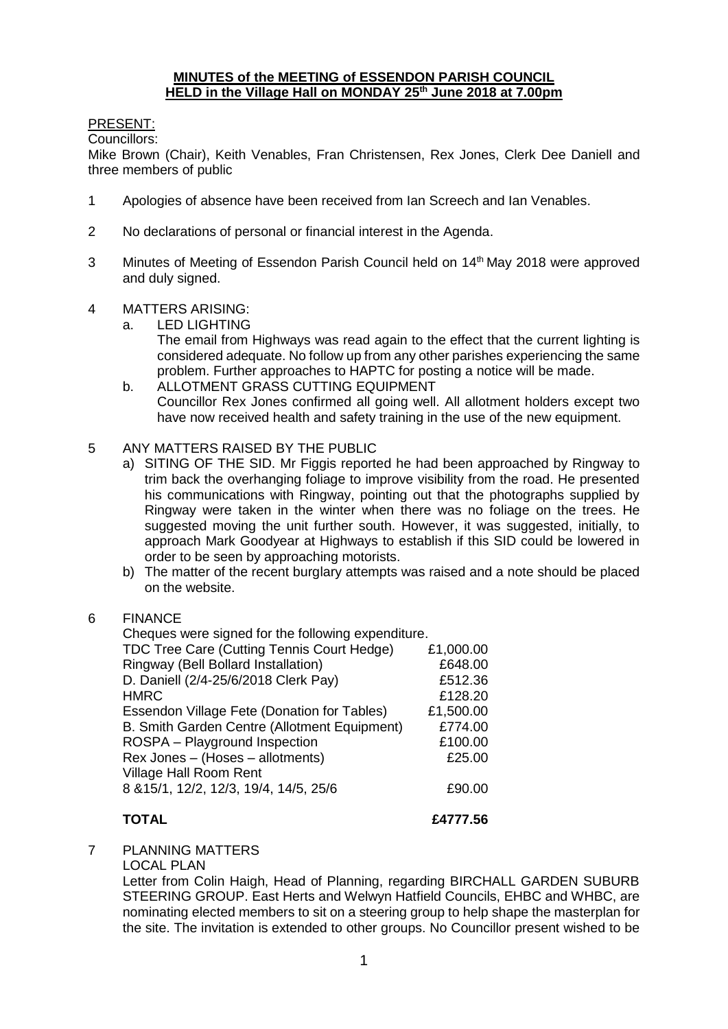#### **MINUTES of the MEETING of ESSENDON PARISH COUNCIL HELD in the Village Hall on MONDAY 25th June 2018 at 7.00pm**

### PRESENT:

Councillors:

Mike Brown (Chair), Keith Venables, Fran Christensen, Rex Jones, Clerk Dee Daniell and three members of public

- 1 Apologies of absence have been received from Ian Screech and Ian Venables.
- 2 No declarations of personal or financial interest in the Agenda.
- 3 Minutes of Meeting of Essendon Parish Council held on 14<sup>th</sup> May 2018 were approved and duly signed.
- 4 MATTERS ARISING:
	- a. LED LIGHTING
		- The email from Highways was read again to the effect that the current lighting is considered adequate. No follow up from any other parishes experiencing the same problem. Further approaches to HAPTC for posting a notice will be made.
	- b. ALLOTMENT GRASS CUTTING EQUIPMENT Councillor Rex Jones confirmed all going well. All allotment holders except two have now received health and safety training in the use of the new equipment.
- 5 ANY MATTERS RAISED BY THE PUBLIC
	- a) SITING OF THE SID. Mr Figgis reported he had been approached by Ringway to trim back the overhanging foliage to improve visibility from the road. He presented his communications with Ringway, pointing out that the photographs supplied by Ringway were taken in the winter when there was no foliage on the trees. He suggested moving the unit further south. However, it was suggested, initially, to approach Mark Goodyear at Highways to establish if this SID could be lowered in order to be seen by approaching motorists.
	- b) The matter of the recent burglary attempts was raised and a note should be placed on the website.
- 6 FINANCE

| Cheques were signed for the following expenditure. |           |
|----------------------------------------------------|-----------|
| TDC Tree Care (Cutting Tennis Court Hedge)         | £1,000.00 |
| Ringway (Bell Bollard Installation)                | £648.00   |
| D. Daniell (2/4-25/6/2018 Clerk Pay)               | £512.36   |
| <b>HMRC</b>                                        | £128.20   |
| Essendon Village Fete (Donation for Tables)        | £1,500.00 |
| B. Smith Garden Centre (Allotment Equipment)       | £774.00   |
| ROSPA - Playground Inspection                      | £100.00   |
| Rex Jones - (Hoses - allotments)                   | £25.00    |
| Village Hall Room Rent                             |           |
| 8 & 15/1, 12/2, 12/3, 19/4, 14/5, 25/6             | £90.00    |
|                                                    |           |

**TOTAL £4777.56**

7 PLANNING MATTERS

LOCAL PLAN

Letter from Colin Haigh, Head of Planning, regarding BIRCHALL GARDEN SUBURB STEERING GROUP. East Herts and Welwyn Hatfield Councils, EHBC and WHBC, are nominating elected members to sit on a steering group to help shape the masterplan for the site. The invitation is extended to other groups. No Councillor present wished to be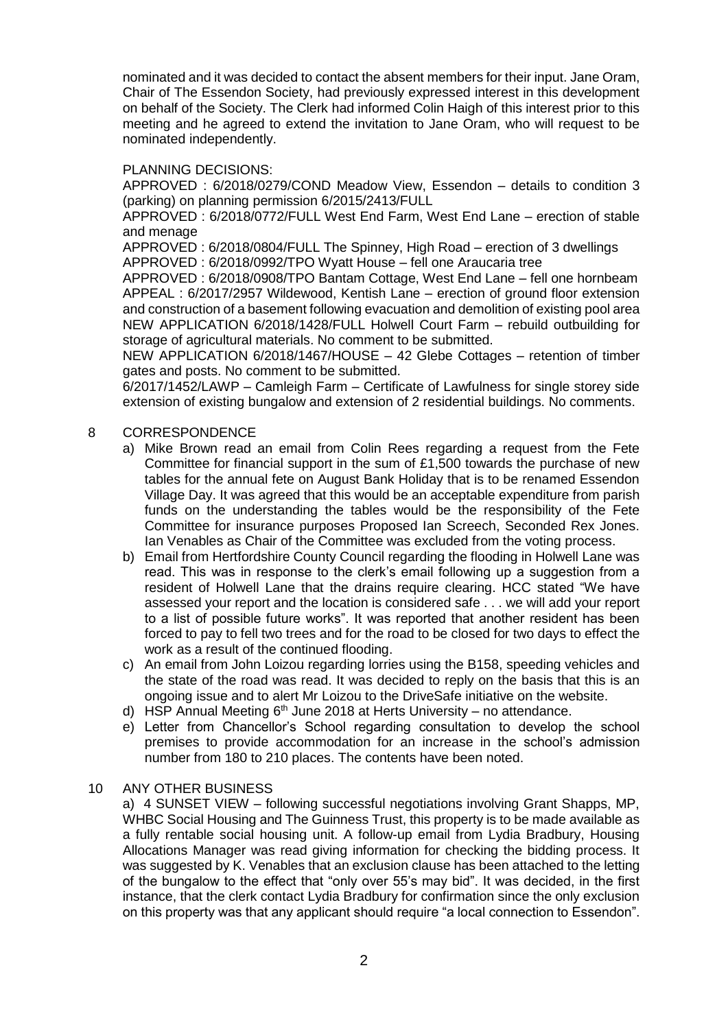nominated and it was decided to contact the absent members for their input. Jane Oram, Chair of The Essendon Society, had previously expressed interest in this development on behalf of the Society. The Clerk had informed Colin Haigh of this interest prior to this meeting and he agreed to extend the invitation to Jane Oram, who will request to be nominated independently.

#### PLANNING DECISIONS:

APPROVED : 6/2018/0279/COND Meadow View, Essendon – details to condition 3 (parking) on planning permission 6/2015/2413/FULL

APPROVED : 6/2018/0772/FULL West End Farm, West End Lane – erection of stable and menage

APPROVED : 6/2018/0804/FULL The Spinney, High Road – erection of 3 dwellings APPROVED : 6/2018/0992/TPO Wyatt House – fell one Araucaria tree

APPROVED : 6/2018/0908/TPO Bantam Cottage, West End Lane – fell one hornbeam APPEAL : 6/2017/2957 Wildewood, Kentish Lane – erection of ground floor extension and construction of a basement following evacuation and demolition of existing pool area NEW APPLICATION 6/2018/1428/FULL Holwell Court Farm – rebuild outbuilding for storage of agricultural materials. No comment to be submitted.

NEW APPLICATION 6/2018/1467/HOUSE – 42 Glebe Cottages – retention of timber gates and posts. No comment to be submitted.

6/2017/1452/LAWP – Camleigh Farm – Certificate of Lawfulness for single storey side extension of existing bungalow and extension of 2 residential buildings. No comments.

#### 8 CORRESPONDENCE

- a) Mike Brown read an email from Colin Rees regarding a request from the Fete Committee for financial support in the sum of £1,500 towards the purchase of new tables for the annual fete on August Bank Holiday that is to be renamed Essendon Village Day. It was agreed that this would be an acceptable expenditure from parish funds on the understanding the tables would be the responsibility of the Fete Committee for insurance purposes Proposed Ian Screech, Seconded Rex Jones. Ian Venables as Chair of the Committee was excluded from the voting process.
- b) Email from Hertfordshire County Council regarding the flooding in Holwell Lane was read. This was in response to the clerk's email following up a suggestion from a resident of Holwell Lane that the drains require clearing. HCC stated "We have assessed your report and the location is considered safe . . . we will add your report to a list of possible future works". It was reported that another resident has been forced to pay to fell two trees and for the road to be closed for two days to effect the work as a result of the continued flooding.
- c) An email from John Loizou regarding lorries using the B158, speeding vehicles and the state of the road was read. It was decided to reply on the basis that this is an ongoing issue and to alert Mr Loizou to the DriveSafe initiative on the website.
- d) HSP Annual Meeting  $6<sup>th</sup>$  June 2018 at Herts University no attendance.
- e) Letter from Chancellor's School regarding consultation to develop the school premises to provide accommodation for an increase in the school's admission number from 180 to 210 places. The contents have been noted.

#### 10 ANY OTHER BUSINESS

a) 4 SUNSET VIEW – following successful negotiations involving Grant Shapps, MP, WHBC Social Housing and The Guinness Trust, this property is to be made available as a fully rentable social housing unit. A follow-up email from Lydia Bradbury, Housing Allocations Manager was read giving information for checking the bidding process. It was suggested by K. Venables that an exclusion clause has been attached to the letting of the bungalow to the effect that "only over 55's may bid". It was decided, in the first instance, that the clerk contact Lydia Bradbury for confirmation since the only exclusion on this property was that any applicant should require "a local connection to Essendon".